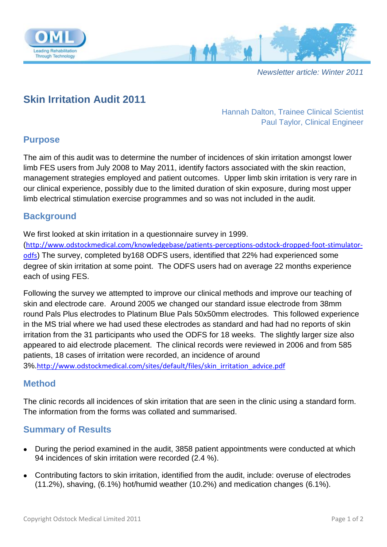

*Newsletter article: Winter 2011*

# **Skin Irritation Audit 2011**

Hannah Dalton, Trainee Clinical Scientist Paul Taylor, Clinical Engineer

# **Purpose**

The aim of this audit was to determine the number of incidences of skin irritation amongst lower limb FES users from July 2008 to May 2011, identify factors associated with the skin reaction, management strategies employed and patient outcomes. Upper limb skin irritation is very rare in our clinical experience, possibly due to the limited duration of skin exposure, during most upper limb electrical stimulation exercise programmes and so was not included in the audit.

# **Background**

We first looked at skin irritation in a questionnaire survey in 1999.

([http://www.odstockmedical.com/knowledgebase/patients-perceptions-odstock-dropped-foot-stimulator](http://www.odstockmedical.com/knowledgebase/patients-perceptions-odstock-dropped-foot-stimulator-odfs)[odfs](http://www.odstockmedical.com/knowledgebase/patients-perceptions-odstock-dropped-foot-stimulator-odfs)) The survey, completed by168 ODFS users, identified that 22% had experienced some degree of skin irritation at some point. The ODFS users had on average 22 months experience each of using FES.

Following the survey we attempted to improve our clinical methods and improve our teaching of skin and electrode care. Around 2005 we changed our standard issue electrode from 38mm round Pals Plus electrodes to Platinum Blue Pals 50x50mm electrodes. This followed experience in the MS trial where we had used these electrodes as standard and had had no reports of skin irritation from the 31 participants who used the ODFS for 18 weeks. The slightly larger size also appeared to aid electrode placement. The clinical records were reviewed in 2006 and from 585 patients, 18 cases of irritation were recorded, an incidence of around 3%.[http://www.odstockmedical.com/sites/default/files/skin\\_irritation\\_advice.pdf](http://www.odstockmedical.com/sites/default/files/skin_irritation_advice.pdf)

#### **Method**

The clinic records all incidences of skin irritation that are seen in the clinic using a standard form. The information from the forms was collated and summarised.

## **Summary of Results**

- During the period examined in the audit, 3858 patient appointments were conducted at which 94 incidences of skin irritation were recorded (2.4 %).
- Contributing factors to skin irritation, identified from the audit, include: overuse of electrodes (11.2%), shaving, (6.1%) hot/humid weather (10.2%) and medication changes (6.1%).